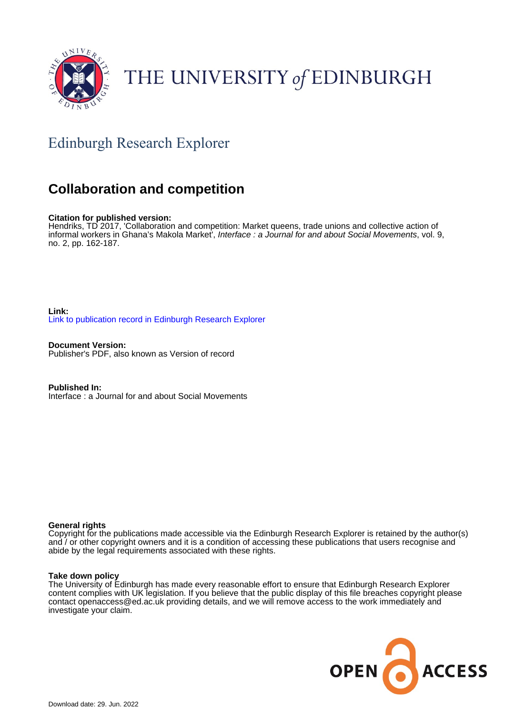

# THE UNIVERSITY of EDINBURGH

# Edinburgh Research Explorer

## **Collaboration and competition**

#### **Citation for published version:**

Hendriks, TD 2017, 'Collaboration and competition: Market queens, trade unions and collective action of informal workers in Ghana's Makola Market', Interface : a Journal for and about Social Movements, vol. 9, no. 2, pp. 162-187.

**Link:** [Link to publication record in Edinburgh Research Explorer](https://www.research.ed.ac.uk/en/publications/3369b630-e2b2-4fa1-846f-876956357b48)

**Document Version:** Publisher's PDF, also known as Version of record

**Published In:** Interface : a Journal for and about Social Movements

#### **General rights**

Copyright for the publications made accessible via the Edinburgh Research Explorer is retained by the author(s) and / or other copyright owners and it is a condition of accessing these publications that users recognise and abide by the legal requirements associated with these rights.

#### **Take down policy**

The University of Edinburgh has made every reasonable effort to ensure that Edinburgh Research Explorer content complies with UK legislation. If you believe that the public display of this file breaches copyright please contact openaccess@ed.ac.uk providing details, and we will remove access to the work immediately and investigate your claim.

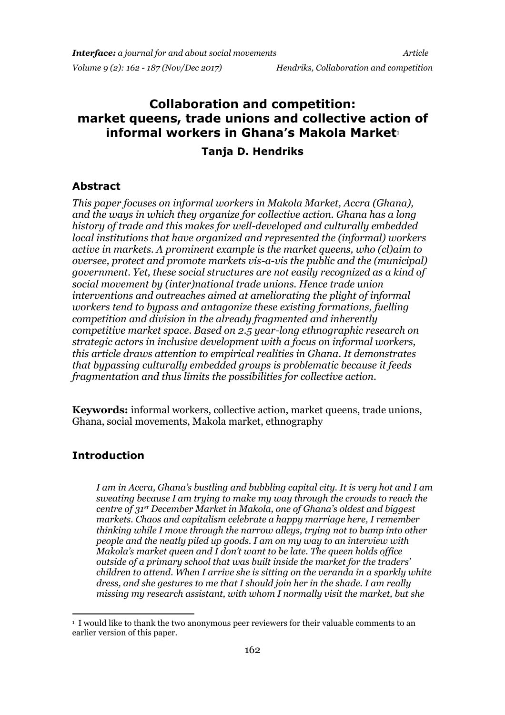# **Collaboration and competition: market queens, trade unions and collective action of informal workers in Ghana's Makola Market**<sup>1</sup>

#### **Tanja D. Hendriks**

### **Abstract**

*This paper focuses on informal workers in Makola Market, Accra (Ghana), and the ways in which they organize for collective action. Ghana has a long history of trade and this makes for well-developed and culturally embedded local institutions that have organized and represented the (informal) workers active in markets. A prominent example is the market queens, who (cl)aim to oversee, protect and promote markets vis-a-vis the public and the (municipal) government. Yet, these social structures are not easily recognized as a kind of social movement by (inter)national trade unions. Hence trade union interventions and outreaches aimed at ameliorating the plight of informal workers tend to bypass and antagonize these existing formations, fuelling competition and division in the already fragmented and inherently competitive market space. Based on 2.5 year-long ethnographic research on strategic actors in inclusive development with a focus on informal workers, this article draws attention to empirical realities in Ghana. It demonstrates that bypassing culturally embedded groups is problematic because it feeds fragmentation and thus limits the possibilities for collective action.*

**Keywords:** informal workers, collective action, market queens, trade unions, Ghana, social movements, Makola market, ethnography

### **Introduction**

*I am in Accra, Ghana's bustling and bubbling capital city. It is very hot and I am sweating because I am trying to make my way through the crowds to reach the centre of 31st December Market in Makola, one of Ghana's oldest and biggest markets. Chaos and capitalism celebrate a happy marriage here, I remember thinking while I move through the narrow alleys, trying not to bump into other people and the neatly piled up goods. I am on my way to an interview with Makola's market queen and I don't want to be late. The queen holds office outside of a primary school that was built inside the market for the traders' children to attend. When I arrive she is sitting on the veranda in a sparkly white dress, and she gestures to me that I should join her in the shade. I am really missing my research assistant, with whom I normally visit the market, but she* 

<sup>-</sup><sup>1</sup> I would like to thank the two anonymous peer reviewers for their valuable comments to an earlier version of this paper.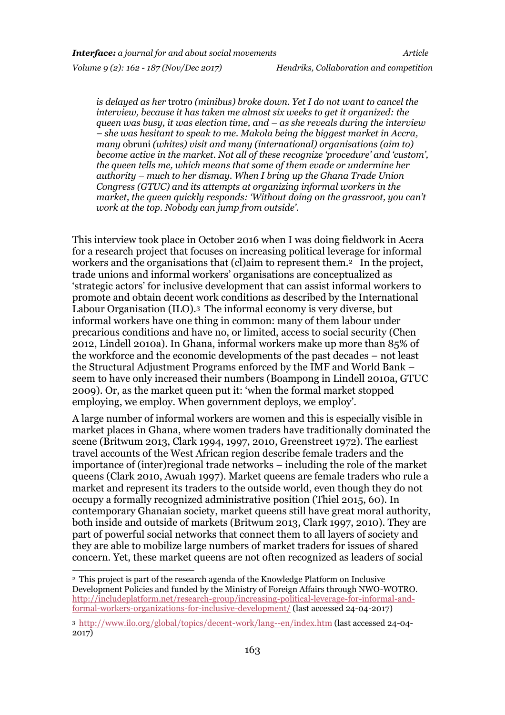1

*is delayed as her* trotro *(minibus) broke down. Yet I do not want to cancel the interview, because it has taken me almost six weeks to get it organized: the queen was busy, it was election time, and – as she reveals during the interview – she was hesitant to speak to me. Makola being the biggest market in Accra, many* obruni *(whites) visit and many (international) organisations (aim to) become active in the market. Not all of these recognize 'procedure' and 'custom', the queen tells me, which means that some of them evade or undermine her authority – much to her dismay. When I bring up the Ghana Trade Union Congress (GTUC) and its attempts at organizing informal workers in the market, the queen quickly responds: 'Without doing on the grassroot, you can't work at the top. Nobody can jump from outside'.* 

This interview took place in October 2016 when I was doing fieldwork in Accra for a research project that focuses on increasing political leverage for informal workers and the organisations that (cl)aim to represent them.<sup>2</sup> In the project, trade unions and informal workers' organisations are conceptualized as 'strategic actors' for inclusive development that can assist informal workers to promote and obtain decent work conditions as described by the International Labour Organisation (ILO).<sup>3</sup> The informal economy is very diverse, but informal workers have one thing in common: many of them labour under precarious conditions and have no, or limited, access to social security (Chen 2012, Lindell 2010a). In Ghana, informal workers make up more than 85% of the workforce and the economic developments of the past decades – not least the Structural Adjustment Programs enforced by the IMF and World Bank – seem to have only increased their numbers (Boampong in Lindell 2010a, GTUC 2009). Or, as the market queen put it: 'when the formal market stopped employing, we employ. When government deploys, we employ'.

A large number of informal workers are women and this is especially visible in market places in Ghana, where women traders have traditionally dominated the scene (Britwum 2013, Clark 1994, 1997, 2010, Greenstreet 1972). The earliest travel accounts of the West African region describe female traders and the importance of (inter)regional trade networks – including the role of the market queens (Clark 2010, Awuah 1997). Market queens are female traders who rule a market and represent its traders to the outside world, even though they do not occupy a formally recognized administrative position (Thiel 2015, 60). In contemporary Ghanaian society, market queens still have great moral authority, both inside and outside of markets (Britwum 2013, Clark 1997, 2010). They are part of powerful social networks that connect them to all layers of society and they are able to mobilize large numbers of market traders for issues of shared concern. Yet, these market queens are not often recognized as leaders of social

<sup>2</sup> This project is part of the research agenda of the Knowledge Platform on Inclusive Development Policies and funded by the Ministry of Foreign Affairs through NWO-WOTRO. [http://includeplatform.net/research-group/increasing-political-leverage-for-informal-and](http://includeplatform.net/research-group/increasing-political-leverage-for-informal-and-formal-workers-organizations-for-inclusive-development/)[formal-workers-organizations-for-inclusive-development/](http://includeplatform.net/research-group/increasing-political-leverage-for-informal-and-formal-workers-organizations-for-inclusive-development/) (last accessed 24-04-2017)

<sup>3</sup> <http://www.ilo.org/global/topics/decent-work/lang--en/index.htm> (last accessed 24-04- 2017)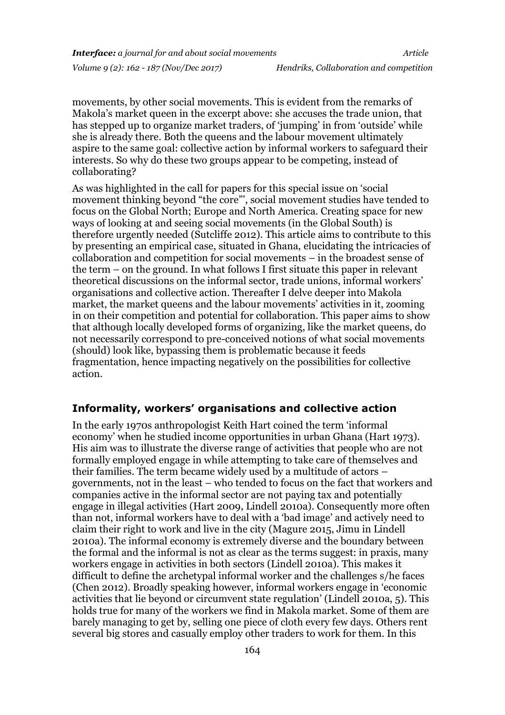movements, by other social movements. This is evident from the remarks of Makola's market queen in the excerpt above: she accuses the trade union, that has stepped up to organize market traders, of 'jumping' in from 'outside' while she is already there. Both the queens and the labour movement ultimately aspire to the same goal: collective action by informal workers to safeguard their interests. So why do these two groups appear to be competing, instead of collaborating?

As was highlighted in the call for papers for this special issue on 'social movement thinking beyond "the core"', social movement studies have tended to focus on the Global North; Europe and North America. Creating space for new ways of looking at and seeing social movements (in the Global South) is therefore urgently needed (Sutcliffe 2012). This article aims to contribute to this by presenting an empirical case, situated in Ghana, elucidating the intricacies of collaboration and competition for social movements – in the broadest sense of the term – on the ground. In what follows I first situate this paper in relevant theoretical discussions on the informal sector, trade unions, informal workers' organisations and collective action. Thereafter I delve deeper into Makola market, the market queens and the labour movements' activities in it, zooming in on their competition and potential for collaboration. This paper aims to show that although locally developed forms of organizing, like the market queens, do not necessarily correspond to pre-conceived notions of what social movements (should) look like, bypassing them is problematic because it feeds fragmentation, hence impacting negatively on the possibilities for collective action.

#### **Informality, workers' organisations and collective action**

In the early 1970s anthropologist Keith Hart coined the term 'informal economy' when he studied income opportunities in urban Ghana (Hart 1973). His aim was to illustrate the diverse range of activities that people who are not formally employed engage in while attempting to take care of themselves and their families. The term became widely used by a multitude of actors – governments, not in the least – who tended to focus on the fact that workers and companies active in the informal sector are not paying tax and potentially engage in illegal activities (Hart 2009, Lindell 2010a). Consequently more often than not, informal workers have to deal with a 'bad image' and actively need to claim their right to work and live in the city (Magure 2015, Jimu in Lindell 2010a). The informal economy is extremely diverse and the boundary between the formal and the informal is not as clear as the terms suggest: in praxis, many workers engage in activities in both sectors (Lindell 2010a). This makes it difficult to define the archetypal informal worker and the challenges s/he faces (Chen 2012). Broadly speaking however, informal workers engage in 'economic activities that lie beyond or circumvent state regulation' (Lindell 2010a, 5). This holds true for many of the workers we find in Makola market. Some of them are barely managing to get by, selling one piece of cloth every few days. Others rent several big stores and casually employ other traders to work for them. In this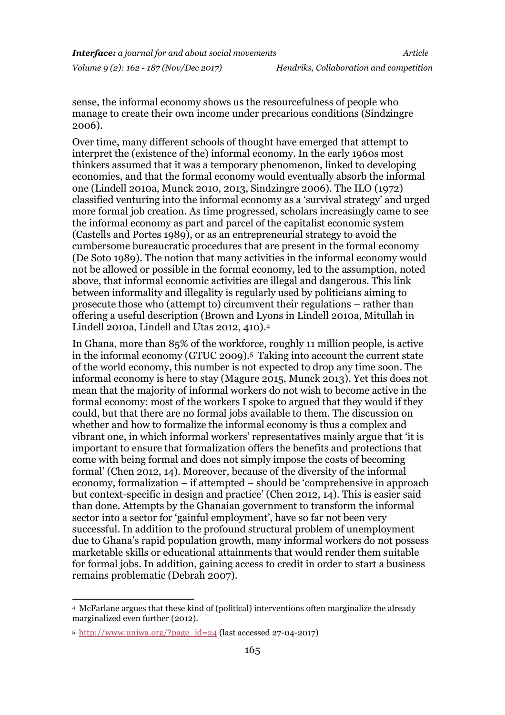sense, the informal economy shows us the resourcefulness of people who manage to create their own income under precarious conditions (Sindzingre 2006).

Over time, many different schools of thought have emerged that attempt to interpret the (existence of the) informal economy. In the early 1960s most thinkers assumed that it was a temporary phenomenon, linked to developing economies, and that the formal economy would eventually absorb the informal one (Lindell 2010a, Munck 2010, 2013, Sindzingre 2006). The ILO (1972) classified venturing into the informal economy as a 'survival strategy' and urged more formal job creation. As time progressed, scholars increasingly came to see the informal economy as part and parcel of the capitalist economic system (Castells and Portes 1989), or as an entrepreneurial strategy to avoid the cumbersome bureaucratic procedures that are present in the formal economy (De Soto 1989). The notion that many activities in the informal economy would not be allowed or possible in the formal economy, led to the assumption, noted above, that informal economic activities are illegal and dangerous. This link between informality and illegality is regularly used by politicians aiming to prosecute those who (attempt to) circumvent their regulations – rather than offering a useful description (Brown and Lyons in Lindell 2010a, Mitullah in Lindell 2010a, Lindell and Utas 2012, 410).<sup>4</sup>

In Ghana, more than 85% of the workforce, roughly 11 million people, is active in the informal economy (GTUC 2009).<sup>5</sup> Taking into account the current state of the world economy, this number is not expected to drop any time soon. The informal economy is here to stay (Magure 2015, Munck 2013). Yet this does not mean that the majority of informal workers do not wish to become active in the formal economy: most of the workers I spoke to argued that they would if they could, but that there are no formal jobs available to them. The discussion on whether and how to formalize the informal economy is thus a complex and vibrant one, in which informal workers' representatives mainly argue that 'it is important to ensure that formalization offers the benefits and protections that come with being formal and does not simply impose the costs of becoming formal' (Chen 2012, 14). Moreover, because of the diversity of the informal economy, formalization – if attempted – should be 'comprehensive in approach but context-specific in design and practice' (Chen 2012, 14). This is easier said than done. Attempts by the Ghanaian government to transform the informal sector into a sector for 'gainful employment', have so far not been very successful. In addition to the profound structural problem of unemployment due to Ghana's rapid population growth, many informal workers do not possess marketable skills or educational attainments that would render them suitable for formal jobs. In addition, gaining access to credit in order to start a business remains problematic (Debrah 2007).

1

<sup>4</sup> McFarlane argues that these kind of (political) interventions often marginalize the already marginalized even further (2012).

<sup>5</sup> [http://www.uniwa.org/?page\\_id=24](http://www.uniwa.org/?page_id=24) (last accessed 27-04-2017)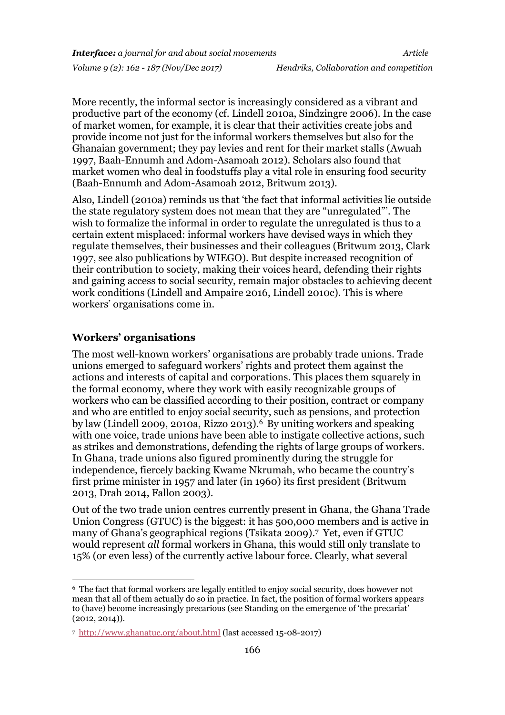More recently, the informal sector is increasingly considered as a vibrant and productive part of the economy (cf. Lindell 2010a, Sindzingre 2006). In the case of market women, for example, it is clear that their activities create jobs and provide income not just for the informal workers themselves but also for the Ghanaian government; they pay levies and rent for their market stalls (Awuah 1997, Baah-Ennumh and Adom-Asamoah 2012). Scholars also found that market women who deal in foodstuffs play a vital role in ensuring food security (Baah-Ennumh and Adom-Asamoah 2012, Britwum 2013).

Also, Lindell (2010a) reminds us that 'the fact that informal activities lie outside the state regulatory system does not mean that they are "unregulated"'. The wish to formalize the informal in order to regulate the unregulated is thus to a certain extent misplaced: informal workers have devised ways in which they regulate themselves, their businesses and their colleagues (Britwum 2013, Clark 1997, see also publications by WIEGO). But despite increased recognition of their contribution to society, making their voices heard, defending their rights and gaining access to social security, remain major obstacles to achieving decent work conditions (Lindell and Ampaire 2016, Lindell 2010c). This is where workers' organisations come in.

#### **Workers' organisations**

-

The most well-known workers' organisations are probably trade unions. Trade unions emerged to safeguard workers' rights and protect them against the actions and interests of capital and corporations. This places them squarely in the formal economy, where they work with easily recognizable groups of workers who can be classified according to their position, contract or company and who are entitled to enjoy social security, such as pensions, and protection by law (Lindell 2009, 2010a, Rizzo 2013).<sup>6</sup> By uniting workers and speaking with one voice, trade unions have been able to instigate collective actions, such as strikes and demonstrations, defending the rights of large groups of workers. In Ghana, trade unions also figured prominently during the struggle for independence, fiercely backing Kwame Nkrumah, who became the country's first prime minister in 1957 and later (in 1960) its first president (Britwum 2013, Drah 2014, Fallon 2003).

Out of the two trade union centres currently present in Ghana, the Ghana Trade Union Congress (GTUC) is the biggest: it has 500,000 members and is active in many of Ghana's geographical regions (Tsikata 2009). <sup>7</sup> Yet, even if GTUC would represent *all* formal workers in Ghana, this would still only translate to 15% (or even less) of the currently active labour force. Clearly, what several

<sup>6</sup> The fact that formal workers are legally entitled to enjoy social security, does however not mean that all of them actually do so in practice. In fact, the position of formal workers appears to (have) become increasingly precarious (see Standing on the emergence of 'the precariat' (2012, 2014)).

<sup>7</sup> <http://www.ghanatuc.org/about.html> (last accessed 15-08-2017)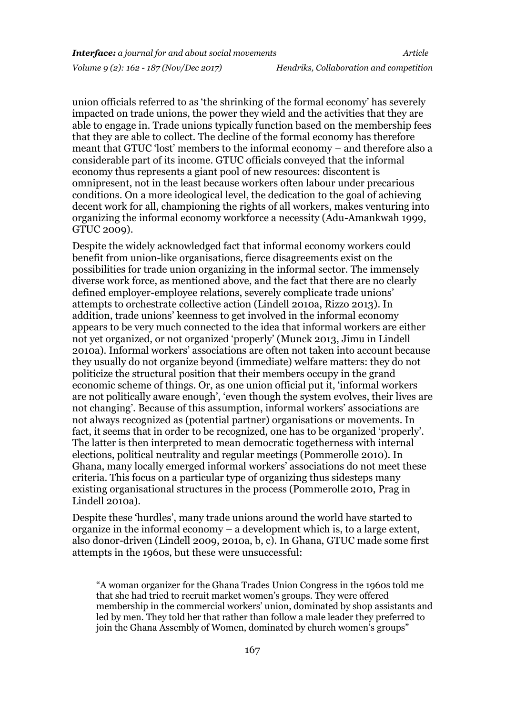union officials referred to as 'the shrinking of the formal economy' has severely impacted on trade unions, the power they wield and the activities that they are able to engage in. Trade unions typically function based on the membership fees that they are able to collect. The decline of the formal economy has therefore meant that GTUC 'lost' members to the informal economy – and therefore also a considerable part of its income. GTUC officials conveyed that the informal economy thus represents a giant pool of new resources: discontent is omnipresent, not in the least because workers often labour under precarious conditions. On a more ideological level, the dedication to the goal of achieving decent work for all, championing the rights of all workers, makes venturing into organizing the informal economy workforce a necessity (Adu-Amankwah 1999, GTUC 2009).

Despite the widely acknowledged fact that informal economy workers could benefit from union-like organisations, fierce disagreements exist on the possibilities for trade union organizing in the informal sector. The immensely diverse work force, as mentioned above, and the fact that there are no clearly defined employer-employee relations, severely complicate trade unions' attempts to orchestrate collective action (Lindell 2010a, Rizzo 2013). In addition, trade unions' keenness to get involved in the informal economy appears to be very much connected to the idea that informal workers are either not yet organized, or not organized 'properly' (Munck 2013, Jimu in Lindell 2010a). Informal workers' associations are often not taken into account because they usually do not organize beyond (immediate) welfare matters: they do not politicize the structural position that their members occupy in the grand economic scheme of things. Or, as one union official put it, 'informal workers are not politically aware enough', 'even though the system evolves, their lives are not changing'. Because of this assumption, informal workers' associations are not always recognized as (potential partner) organisations or movements. In fact, it seems that in order to be recognized, one has to be organized 'properly'. The latter is then interpreted to mean democratic togetherness with internal elections, political neutrality and regular meetings (Pommerolle 2010). In Ghana, many locally emerged informal workers' associations do not meet these criteria. This focus on a particular type of organizing thus sidesteps many existing organisational structures in the process (Pommerolle 2010, Prag in Lindell 2010a).

Despite these 'hurdles', many trade unions around the world have started to organize in the informal economy – a development which is, to a large extent, also donor-driven (Lindell 2009, 2010a, b, c). In Ghana, GTUC made some first attempts in the 1960s, but these were unsuccessful:

<sup>&</sup>quot;A woman organizer for the Ghana Trades Union Congress in the 1960s told me that she had tried to recruit market women's groups. They were offered membership in the commercial workers' union, dominated by shop assistants and led by men. They told her that rather than follow a male leader they preferred to join the Ghana Assembly of Women, dominated by church women's groups"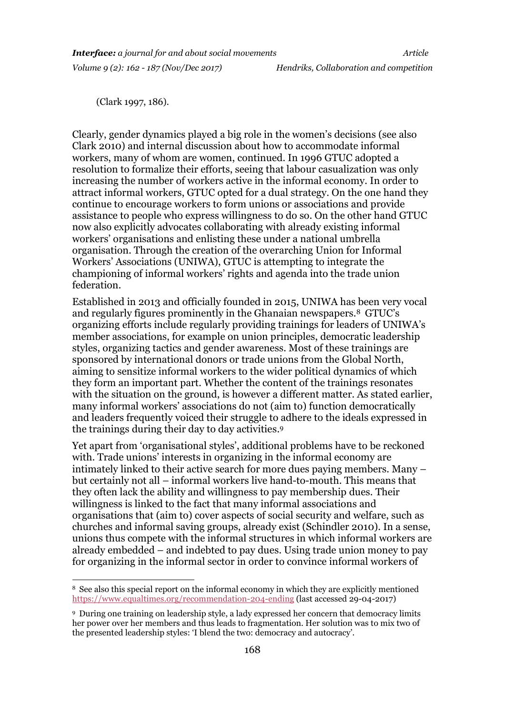(Clark 1997, 186).

-

Clearly, gender dynamics played a big role in the women's decisions (see also Clark 2010) and internal discussion about how to accommodate informal workers, many of whom are women, continued. In 1996 GTUC adopted a resolution to formalize their efforts, seeing that labour casualization was only increasing the number of workers active in the informal economy. In order to attract informal workers, GTUC opted for a dual strategy. On the one hand they continue to encourage workers to form unions or associations and provide assistance to people who express willingness to do so. On the other hand GTUC now also explicitly advocates collaborating with already existing informal workers' organisations and enlisting these under a national umbrella organisation. Through the creation of the overarching Union for Informal Workers' Associations (UNIWA), GTUC is attempting to integrate the championing of informal workers' rights and agenda into the trade union federation.

Established in 2013 and officially founded in 2015, UNIWA has been very vocal and regularly figures prominently in the Ghanaian newspapers.<sup>8</sup> GTUC's organizing efforts include regularly providing trainings for leaders of UNIWA's member associations, for example on union principles, democratic leadership styles, organizing tactics and gender awareness. Most of these trainings are sponsored by international donors or trade unions from the Global North, aiming to sensitize informal workers to the wider political dynamics of which they form an important part. Whether the content of the trainings resonates with the situation on the ground, is however a different matter. As stated earlier, many informal workers' associations do not (aim to) function democratically and leaders frequently voiced their struggle to adhere to the ideals expressed in the trainings during their day to day activities.<sup>9</sup>

Yet apart from 'organisational styles', additional problems have to be reckoned with. Trade unions' interests in organizing in the informal economy are intimately linked to their active search for more dues paying members. Many – but certainly not all – informal workers live hand-to-mouth. This means that they often lack the ability and willingness to pay membership dues. Their willingness is linked to the fact that many informal associations and organisations that (aim to) cover aspects of social security and welfare, such as churches and informal saving groups, already exist (Schindler 2010). In a sense, unions thus compete with the informal structures in which informal workers are already embedded – and indebted to pay dues. Using trade union money to pay for organizing in the informal sector in order to convince informal workers of

<sup>8</sup> See also this special report on the informal economy in which they are explicitly mentioned <https://www.equaltimes.org/recommendation-204-ending> (last accessed 29-04-2017)

<sup>9</sup> During one training on leadership style, a lady expressed her concern that democracy limits her power over her members and thus leads to fragmentation. Her solution was to mix two of the presented leadership styles: 'I blend the two: democracy and autocracy'.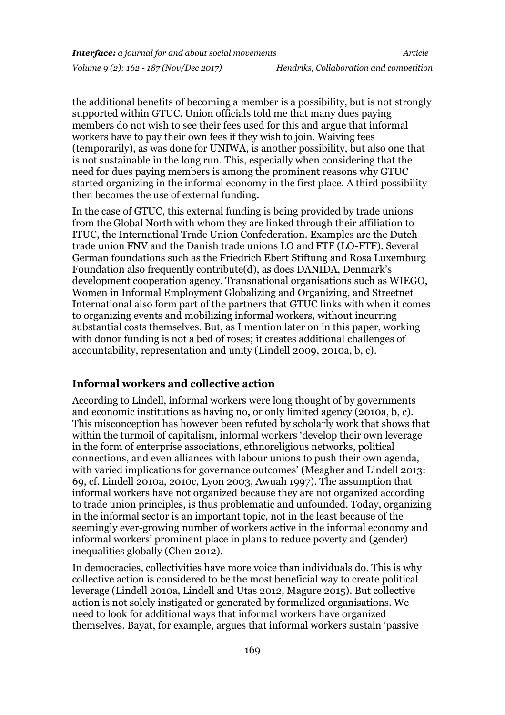the additional benefits of becoming a member is a possibility, but is not strongly supported within GTUC. Union officials told me that many dues paying members do not wish to see their fees used for this and argue that informal workers have to pay their own fees if they wish to join. Waiving fees (temporarily), as was done for UNIWA, is another possibility, but also one that is not sustainable in the long run. This, especially when considering that the need for dues paying members is among the prominent reasons why GTUC started organizing in the informal economy in the first place. A third possibility then becomes the use of external funding.

In the case of GTUC, this external funding is being provided by trade unions from the Global North with whom they are linked through their affiliation to ITUC, the International Trade Union Confederation. Examples are the Dutch trade union FNV and the Danish trade unions LO and FTF (LO-FTF). Several German foundations such as the Friedrich Ebert Stiftung and Rosa Luxemburg Foundation also frequently contribute(d), as does DANIDA, Denmark's development cooperation agency. Transnational organisations such as WIEGO, Women in Informal Employment Globalizing and Organizing, and Streetnet International also form part of the partners that GTUC links with when it comes to organizing events and mobilizing informal workers, without incurring substantial costs themselves. But, as I mention later on in this paper, working with donor funding is not a bed of roses; it creates additional challenges of accountability, representation and unity (Lindell 2009, 2010a, b, c).

#### **Informal workers and collective action**

According to Lindell, informal workers were long thought of by governments and economic institutions as having no, or only limited agency (2010a, b, c). This misconception has however been refuted by scholarly work that shows that within the turmoil of capitalism, informal workers 'develop their own leverage in the form of enterprise associations, ethnoreligious networks, political connections, and even alliances with labour unions to push their own agenda, with varied implications for governance outcomes' (Meagher and Lindell 2013: 69, cf. Lindell 2010a, 2010c, Lyon 2003, Awuah 1997). The assumption that informal workers have not organized because they are not organized according to trade union principles, is thus problematic and unfounded. Today, organizing in the informal sector is an important topic, not in the least because of the seemingly ever-growing number of workers active in the informal economy and informal workers' prominent place in plans to reduce poverty and (gender) inequalities globally (Chen 2012).

In democracies, collectivities have more voice than individuals do. This is why collective action is considered to be the most beneficial way to create political leverage (Lindell 2010a, Lindell and Utas 2012, Magure 2015). But collective action is not solely instigated or generated by formalized organisations. We need to look for additional ways that informal workers have organized themselves. Bayat, for example, argues that informal workers sustain 'passive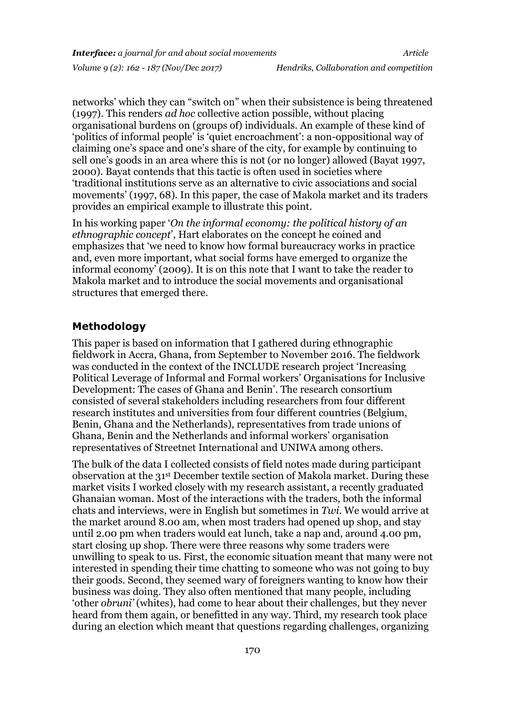networks' which they can "switch on" when their subsistence is being threatened (1997). This renders *ad hoc* collective action possible, without placing organisational burdens on (groups of) individuals. An example of these kind of 'politics of informal people' is 'quiet encroachment': a non-oppositional way of claiming one's space and one's share of the city, for example by continuing to sell one's goods in an area where this is not (or no longer) allowed (Bayat 1997, 2000). Bayat contends that this tactic is often used in societies where 'traditional institutions serve as an alternative to civic associations and social movements' (1997, 68). In this paper, the case of Makola market and its traders provides an empirical example to illustrate this point.

In his working paper '*On the informal economy: the political history of an ethnographic concept*', Hart elaborates on the concept he coined and emphasizes that 'we need to know how formal bureaucracy works in practice and, even more important, what social forms have emerged to organize the informal economy' (2009). It is on this note that I want to take the reader to Makola market and to introduce the social movements and organisational structures that emerged there.

### **Methodology**

This paper is based on information that I gathered during ethnographic fieldwork in Accra, Ghana, from September to November 2016. The fieldwork was conducted in the context of the INCLUDE research project 'Increasing Political Leverage of Informal and Formal workers' Organisations for Inclusive Development: The cases of Ghana and Benin'. The research consortium consisted of several stakeholders including researchers from four different research institutes and universities from four different countries (Belgium, Benin, Ghana and the Netherlands), representatives from trade unions of Ghana, Benin and the Netherlands and informal workers' organisation representatives of Streetnet International and UNIWA among others.

The bulk of the data I collected consists of field notes made during participant observation at the 31st December textile section of Makola market. During these market visits I worked closely with my research assistant, a recently graduated Ghanaian woman. Most of the interactions with the traders, both the informal chats and interviews, were in English but sometimes in *Twi*. We would arrive at the market around 8.00 am, when most traders had opened up shop, and stay until 2.00 pm when traders would eat lunch, take a nap and, around 4.00 pm, start closing up shop. There were three reasons why some traders were unwilling to speak to us. First, the economic situation meant that many were not interested in spending their time chatting to someone who was not going to buy their goods. Second, they seemed wary of foreigners wanting to know how their business was doing. They also often mentioned that many people, including 'other *obruni'* (whites), had come to hear about their challenges, but they never heard from them again, or benefitted in any way. Third, my research took place during an election which meant that questions regarding challenges, organizing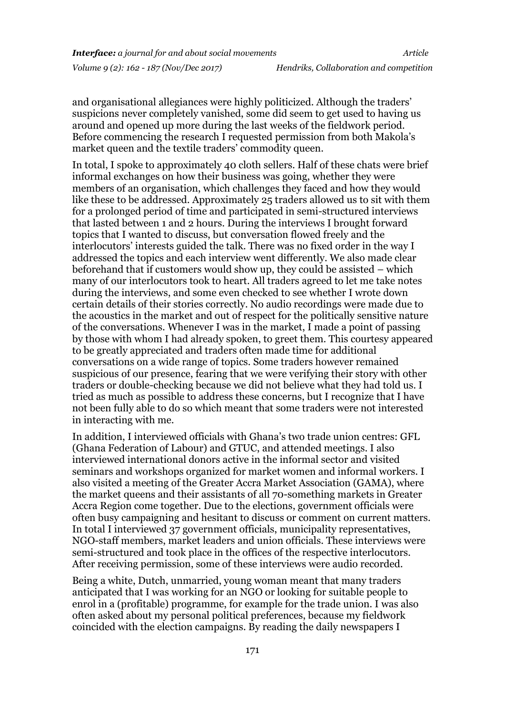and organisational allegiances were highly politicized. Although the traders' suspicions never completely vanished, some did seem to get used to having us around and opened up more during the last weeks of the fieldwork period. Before commencing the research I requested permission from both Makola's market queen and the textile traders' commodity queen.

In total, I spoke to approximately 40 cloth sellers. Half of these chats were brief informal exchanges on how their business was going, whether they were members of an organisation, which challenges they faced and how they would like these to be addressed. Approximately 25 traders allowed us to sit with them for a prolonged period of time and participated in semi-structured interviews that lasted between 1 and 2 hours. During the interviews I brought forward topics that I wanted to discuss, but conversation flowed freely and the interlocutors' interests guided the talk. There was no fixed order in the way I addressed the topics and each interview went differently. We also made clear beforehand that if customers would show up, they could be assisted – which many of our interlocutors took to heart. All traders agreed to let me take notes during the interviews, and some even checked to see whether I wrote down certain details of their stories correctly. No audio recordings were made due to the acoustics in the market and out of respect for the politically sensitive nature of the conversations. Whenever I was in the market, I made a point of passing by those with whom I had already spoken, to greet them. This courtesy appeared to be greatly appreciated and traders often made time for additional conversations on a wide range of topics. Some traders however remained suspicious of our presence, fearing that we were verifying their story with other traders or double-checking because we did not believe what they had told us. I tried as much as possible to address these concerns, but I recognize that I have not been fully able to do so which meant that some traders were not interested in interacting with me.

In addition, I interviewed officials with Ghana's two trade union centres: GFL (Ghana Federation of Labour) and GTUC, and attended meetings. I also interviewed international donors active in the informal sector and visited seminars and workshops organized for market women and informal workers. I also visited a meeting of the Greater Accra Market Association (GAMA), where the market queens and their assistants of all 70-something markets in Greater Accra Region come together. Due to the elections, government officials were often busy campaigning and hesitant to discuss or comment on current matters. In total I interviewed 37 government officials, municipality representatives, NGO-staff members, market leaders and union officials. These interviews were semi-structured and took place in the offices of the respective interlocutors. After receiving permission, some of these interviews were audio recorded.

Being a white, Dutch, unmarried, young woman meant that many traders anticipated that I was working for an NGO or looking for suitable people to enrol in a (profitable) programme, for example for the trade union. I was also often asked about my personal political preferences, because my fieldwork coincided with the election campaigns. By reading the daily newspapers I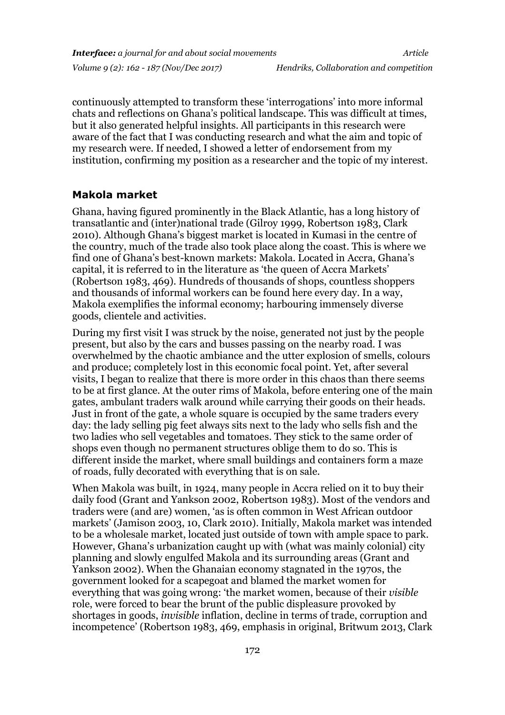continuously attempted to transform these 'interrogations' into more informal chats and reflections on Ghana's political landscape. This was difficult at times, but it also generated helpful insights. All participants in this research were aware of the fact that I was conducting research and what the aim and topic of my research were. If needed, I showed a letter of endorsement from my institution, confirming my position as a researcher and the topic of my interest.

#### **Makola market**

Ghana, having figured prominently in the Black Atlantic, has a long history of transatlantic and (inter)national trade (Gilroy 1999, Robertson 1983, Clark 2010). Although Ghana's biggest market is located in Kumasi in the centre of the country, much of the trade also took place along the coast. This is where we find one of Ghana's best-known markets: Makola. Located in Accra, Ghana's capital, it is referred to in the literature as 'the queen of Accra Markets' (Robertson 1983, 469). Hundreds of thousands of shops, countless shoppers and thousands of informal workers can be found here every day. In a way, Makola exemplifies the informal economy; harbouring immensely diverse goods, clientele and activities.

During my first visit I was struck by the noise, generated not just by the people present, but also by the cars and busses passing on the nearby road. I was overwhelmed by the chaotic ambiance and the utter explosion of smells, colours and produce; completely lost in this economic focal point. Yet, after several visits, I began to realize that there is more order in this chaos than there seems to be at first glance. At the outer rims of Makola, before entering one of the main gates, ambulant traders walk around while carrying their goods on their heads. Just in front of the gate, a whole square is occupied by the same traders every day: the lady selling pig feet always sits next to the lady who sells fish and the two ladies who sell vegetables and tomatoes. They stick to the same order of shops even though no permanent structures oblige them to do so. This is different inside the market, where small buildings and containers form a maze of roads, fully decorated with everything that is on sale.

When Makola was built, in 1924, many people in Accra relied on it to buy their daily food (Grant and Yankson 2002, Robertson 1983). Most of the vendors and traders were (and are) women, 'as is often common in West African outdoor markets' (Jamison 2003, 10, Clark 2010). Initially, Makola market was intended to be a wholesale market, located just outside of town with ample space to park. However, Ghana's urbanization caught up with (what was mainly colonial) city planning and slowly engulfed Makola and its surrounding areas (Grant and Yankson 2002). When the Ghanaian economy stagnated in the 1970s, the government looked for a scapegoat and blamed the market women for everything that was going wrong: 'the market women, because of their *visible* role, were forced to bear the brunt of the public displeasure provoked by shortages in goods, *invisible* inflation, decline in terms of trade, corruption and incompetence' (Robertson 1983, 469, emphasis in original, Britwum 2013, Clark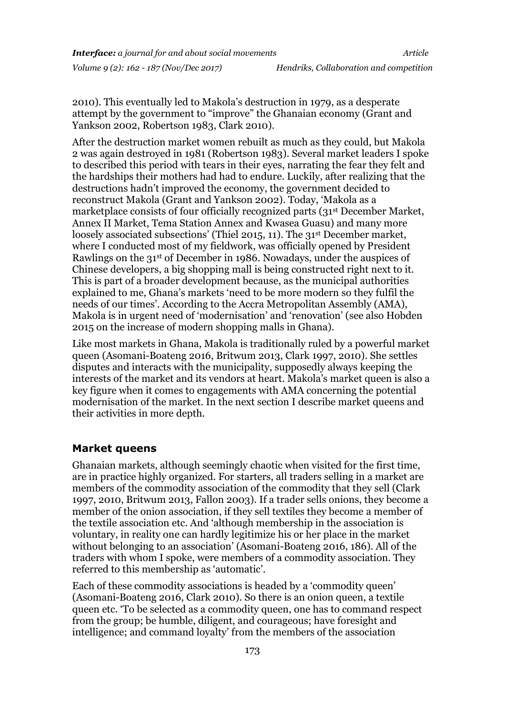2010). This eventually led to Makola's destruction in 1979, as a desperate attempt by the government to "improve" the Ghanaian economy (Grant and Yankson 2002, Robertson 1983, Clark 2010).

After the destruction market women rebuilt as much as they could, but Makola 2 was again destroyed in 1981 (Robertson 1983). Several market leaders I spoke to described this period with tears in their eyes, narrating the fear they felt and the hardships their mothers had had to endure. Luckily, after realizing that the destructions hadn't improved the economy, the government decided to reconstruct Makola (Grant and Yankson 2002). Today, 'Makola as a marketplace consists of four officially recognized parts (31st December Market, Annex II Market, Tema Station Annex and Kwasea Guasu) and many more loosely associated subsections' (Thiel 2015, 11). The 31<sup>st</sup> December market, where I conducted most of my fieldwork, was officially opened by President Rawlings on the 31st of December in 1986. Nowadays, under the auspices of Chinese developers, a big shopping mall is being constructed right next to it. This is part of a broader development because, as the municipal authorities explained to me, Ghana's markets 'need to be more modern so they fulfil the needs of our times'. According to the Accra Metropolitan Assembly (AMA), Makola is in urgent need of 'modernisation' and 'renovation' (see also Hobden 2015 on the increase of modern shopping malls in Ghana).

Like most markets in Ghana, Makola is traditionally ruled by a powerful market queen (Asomani-Boateng 2016, Britwum 2013, Clark 1997, 2010). She settles disputes and interacts with the municipality, supposedly always keeping the interests of the market and its vendors at heart. Makola's market queen is also a key figure when it comes to engagements with AMA concerning the potential modernisation of the market. In the next section I describe market queens and their activities in more depth.

#### **Market queens**

Ghanaian markets, although seemingly chaotic when visited for the first time, are in practice highly organized. For starters, all traders selling in a market are members of the commodity association of the commodity that they sell (Clark 1997, 2010, Britwum 2013, Fallon 2003). If a trader sells onions, they become a member of the onion association, if they sell textiles they become a member of the textile association etc. And 'although membership in the association is voluntary, in reality one can hardly legitimize his or her place in the market without belonging to an association' (Asomani-Boateng 2016, 186). All of the traders with whom I spoke, were members of a commodity association. They referred to this membership as 'automatic'.

Each of these commodity associations is headed by a 'commodity queen' (Asomani-Boateng 2016, Clark 2010). So there is an onion queen, a textile queen etc. 'To be selected as a commodity queen, one has to command respect from the group; be humble, diligent, and courageous; have foresight and intelligence; and command loyalty' from the members of the association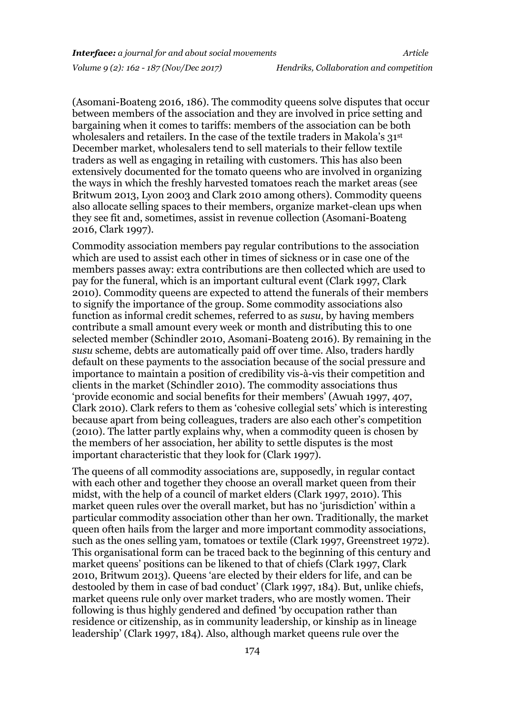(Asomani-Boateng 2016, 186). The commodity queens solve disputes that occur between members of the association and they are involved in price setting and bargaining when it comes to tariffs: members of the association can be both wholesalers and retailers. In the case of the textile traders in Makola's 31st December market, wholesalers tend to sell materials to their fellow textile traders as well as engaging in retailing with customers. This has also been extensively documented for the tomato queens who are involved in organizing the ways in which the freshly harvested tomatoes reach the market areas (see Britwum 2013, Lyon 2003 and Clark 2010 among others). Commodity queens also allocate selling spaces to their members, organize market-clean ups when they see fit and, sometimes, assist in revenue collection (Asomani-Boateng 2016, Clark 1997).

Commodity association members pay regular contributions to the association which are used to assist each other in times of sickness or in case one of the members passes away: extra contributions are then collected which are used to pay for the funeral, which is an important cultural event (Clark 1997, Clark 2010). Commodity queens are expected to attend the funerals of their members to signify the importance of the group. Some commodity associations also function as informal credit schemes, referred to as *susu,* by having members contribute a small amount every week or month and distributing this to one selected member (Schindler 2010, Asomani-Boateng 2016). By remaining in the *susu* scheme, debts are automatically paid off over time. Also, traders hardly default on these payments to the association because of the social pressure and importance to maintain a position of credibility vis-à-vis their competition and clients in the market (Schindler 2010). The commodity associations thus 'provide economic and social benefits for their members' (Awuah 1997, 407, Clark 2010). Clark refers to them as 'cohesive collegial sets' which is interesting because apart from being colleagues, traders are also each other's competition (2010). The latter partly explains why, when a commodity queen is chosen by the members of her association, her ability to settle disputes is the most important characteristic that they look for (Clark 1997).

The queens of all commodity associations are, supposedly, in regular contact with each other and together they choose an overall market queen from their midst, with the help of a council of market elders (Clark 1997, 2010). This market queen rules over the overall market, but has no 'jurisdiction' within a particular commodity association other than her own. Traditionally, the market queen often hails from the larger and more important commodity associations, such as the ones selling yam, tomatoes or textile (Clark 1997, Greenstreet 1972). This organisational form can be traced back to the beginning of this century and market queens' positions can be likened to that of chiefs (Clark 1997, Clark 2010, Britwum 2013). Queens 'are elected by their elders for life, and can be destooled by them in case of bad conduct' (Clark 1997, 184). But, unlike chiefs, market queens rule only over market traders, who are mostly women. Their following is thus highly gendered and defined 'by occupation rather than residence or citizenship, as in community leadership, or kinship as in lineage leadership' (Clark 1997, 184). Also, although market queens rule over the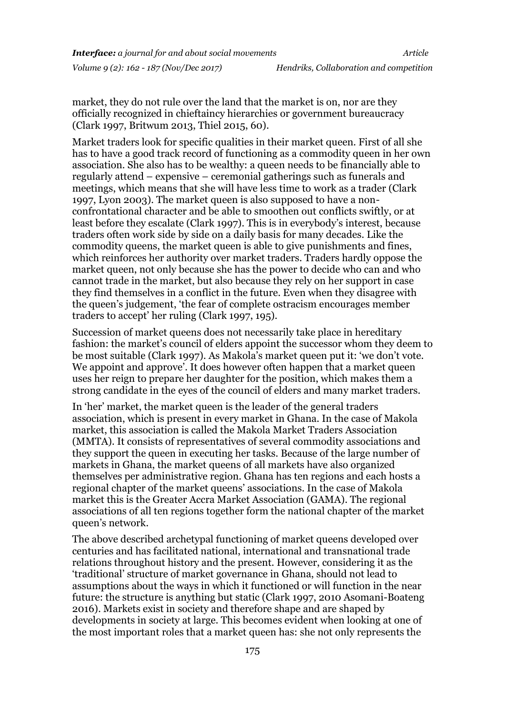market, they do not rule over the land that the market is on, nor are they officially recognized in chieftaincy hierarchies or government bureaucracy (Clark 1997, Britwum 2013, Thiel 2015, 60).

Market traders look for specific qualities in their market queen. First of all she has to have a good track record of functioning as a commodity queen in her own association. She also has to be wealthy: a queen needs to be financially able to regularly attend – expensive – ceremonial gatherings such as funerals and meetings, which means that she will have less time to work as a trader (Clark 1997, Lyon 2003). The market queen is also supposed to have a nonconfrontational character and be able to smoothen out conflicts swiftly, or at least before they escalate (Clark 1997). This is in everybody's interest, because traders often work side by side on a daily basis for many decades. Like the commodity queens, the market queen is able to give punishments and fines, which reinforces her authority over market traders. Traders hardly oppose the market queen, not only because she has the power to decide who can and who cannot trade in the market, but also because they rely on her support in case they find themselves in a conflict in the future. Even when they disagree with the queen's judgement, 'the fear of complete ostracism encourages member traders to accept' her ruling (Clark 1997, 195).

Succession of market queens does not necessarily take place in hereditary fashion: the market's council of elders appoint the successor whom they deem to be most suitable (Clark 1997). As Makola's market queen put it: 'we don't vote. We appoint and approve'. It does however often happen that a market queen uses her reign to prepare her daughter for the position, which makes them a strong candidate in the eyes of the council of elders and many market traders.

In 'her' market, the market queen is the leader of the general traders association, which is present in every market in Ghana. In the case of Makola market, this association is called the Makola Market Traders Association (MMTA). It consists of representatives of several commodity associations and they support the queen in executing her tasks. Because of the large number of markets in Ghana, the market queens of all markets have also organized themselves per administrative region. Ghana has ten regions and each hosts a regional chapter of the market queens' associations. In the case of Makola market this is the Greater Accra Market Association (GAMA). The regional associations of all ten regions together form the national chapter of the market queen's network.

The above described archetypal functioning of market queens developed over centuries and has facilitated national, international and transnational trade relations throughout history and the present. However, considering it as the 'traditional' structure of market governance in Ghana, should not lead to assumptions about the ways in which it functioned or will function in the near future: the structure is anything but static (Clark 1997, 2010 Asomani-Boateng 2016). Markets exist in society and therefore shape and are shaped by developments in society at large. This becomes evident when looking at one of the most important roles that a market queen has: she not only represents the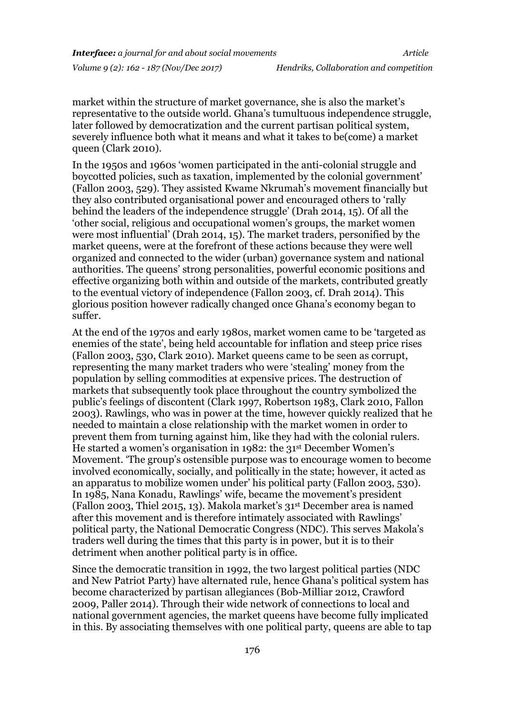market within the structure of market governance, she is also the market's representative to the outside world. Ghana's tumultuous independence struggle, later followed by democratization and the current partisan political system, severely influence both what it means and what it takes to be(come) a market queen (Clark 2010).

In the 1950s and 1960s 'women participated in the anti-colonial struggle and boycotted policies, such as taxation, implemented by the colonial government' (Fallon 2003, 529). They assisted Kwame Nkrumah's movement financially but they also contributed organisational power and encouraged others to 'rally behind the leaders of the independence struggle' (Drah 2014, 15). Of all the 'other social, religious and occupational women's groups, the market women were most influential' (Drah 2014, 15). The market traders, personified by the market queens, were at the forefront of these actions because they were well organized and connected to the wider (urban) governance system and national authorities. The queens' strong personalities, powerful economic positions and effective organizing both within and outside of the markets, contributed greatly to the eventual victory of independence (Fallon 2003, cf. Drah 2014). This glorious position however radically changed once Ghana's economy began to suffer.

At the end of the 1970s and early 1980s, market women came to be 'targeted as enemies of the state', being held accountable for inflation and steep price rises (Fallon 2003, 530, Clark 2010). Market queens came to be seen as corrupt, representing the many market traders who were 'stealing' money from the population by selling commodities at expensive prices. The destruction of markets that subsequently took place throughout the country symbolized the public's feelings of discontent (Clark 1997, Robertson 1983, Clark 2010, Fallon 2003). Rawlings, who was in power at the time, however quickly realized that he needed to maintain a close relationship with the market women in order to prevent them from turning against him, like they had with the colonial rulers. He started a women's organisation in 1982: the 31st December Women's Movement. 'The group's ostensible purpose was to encourage women to become involved economically, socially, and politically in the state; however, it acted as an apparatus to mobilize women under' his political party (Fallon 2003, 530). In 1985, Nana Konadu, Rawlings' wife, became the movement's president (Fallon 2003, Thiel 2015, 13). Makola market's 31st December area is named after this movement and is therefore intimately associated with Rawlings' political party, the National Democratic Congress (NDC). This serves Makola's traders well during the times that this party is in power, but it is to their detriment when another political party is in office.

Since the democratic transition in 1992, the two largest political parties (NDC and New Patriot Party) have alternated rule, hence Ghana's political system has become characterized by partisan allegiances (Bob-Milliar 2012, Crawford 2009, Paller 2014). Through their wide network of connections to local and national government agencies, the market queens have become fully implicated in this. By associating themselves with one political party, queens are able to tap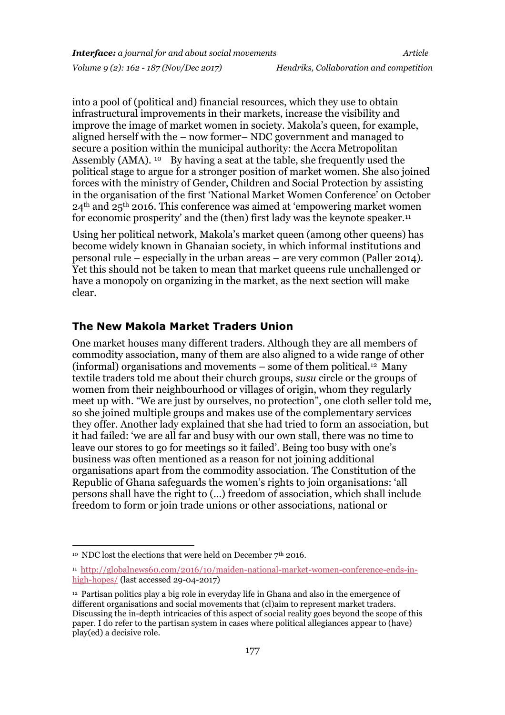into a pool of (political and) financial resources, which they use to obtain infrastructural improvements in their markets, increase the visibility and improve the image of market women in society. Makola's queen, for example, aligned herself with the – now former– NDC government and managed to secure a position within the municipal authority: the Accra Metropolitan Assembly (AMA). <sup>10</sup> By having a seat at the table, she frequently used the political stage to argue for a stronger position of market women. She also joined forces with the ministry of Gender, Children and Social Protection by assisting in the organisation of the first 'National Market Women Conference' on October  $24<sup>th</sup>$  and  $25<sup>th</sup>$  2016. This conference was aimed at 'empowering market women for economic prosperity' and the (then) first lady was the keynote speaker.<sup>11</sup>

Using her political network, Makola's market queen (among other queens) has become widely known in Ghanaian society, in which informal institutions and personal rule – especially in the urban areas – are very common (Paller 2014). Yet this should not be taken to mean that market queens rule unchallenged or have a monopoly on organizing in the market, as the next section will make clear.

### **The New Makola Market Traders Union**

One market houses many different traders. Although they are all members of commodity association, many of them are also aligned to a wide range of other (informal) organisations and movements – some of them political.<sup>12</sup> Many textile traders told me about their church groups, *susu* circle or the groups of women from their neighbourhood or villages of origin, whom they regularly meet up with. "We are just by ourselves, no protection", one cloth seller told me, so she joined multiple groups and makes use of the complementary services they offer. Another lady explained that she had tried to form an association, but it had failed: 'we are all far and busy with our own stall, there was no time to leave our stores to go for meetings so it failed'. Being too busy with one's business was often mentioned as a reason for not joining additional organisations apart from the commodity association. The Constitution of the Republic of Ghana safeguards the women's rights to join organisations: 'all persons shall have the right to (...) freedom of association, which shall include freedom to form or join trade unions or other associations, national or

<sup>-</sup> $^{10}$  NDC lost the elections that were held on December 7th 2016.

<sup>11</sup> [http://globalnews60.com/2016/10/maiden-national-market-women-conference-ends-in](http://globalnews60.com/2016/10/maiden-national-market-women-conference-ends-in-high-hopes/)[high-hopes/](http://globalnews60.com/2016/10/maiden-national-market-women-conference-ends-in-high-hopes/) (last accessed 29-04-2017)

<sup>12</sup> Partisan politics play a big role in everyday life in Ghana and also in the emergence of different organisations and social movements that (cl)aim to represent market traders. Discussing the in-depth intricacies of this aspect of social reality goes beyond the scope of this paper. I do refer to the partisan system in cases where political allegiances appear to (have) play(ed) a decisive role.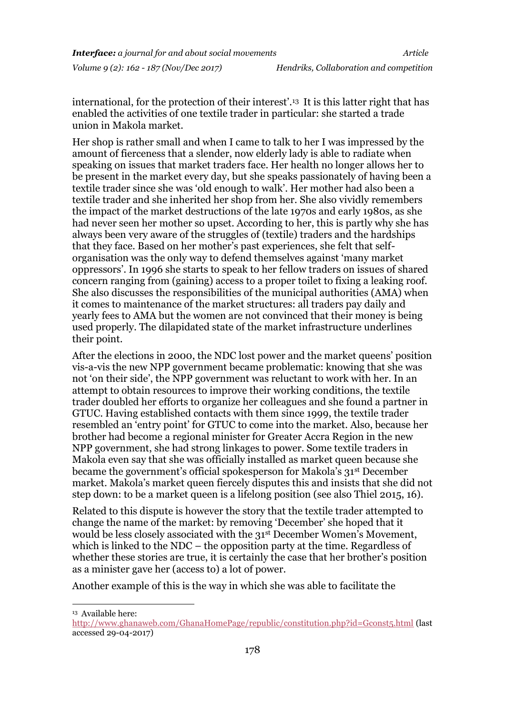international, for the protection of their interest'.<sup>13</sup> It is this latter right that has enabled the activities of one textile trader in particular: she started a trade union in Makola market.

Her shop is rather small and when I came to talk to her I was impressed by the amount of fierceness that a slender, now elderly lady is able to radiate when speaking on issues that market traders face. Her health no longer allows her to be present in the market every day, but she speaks passionately of having been a textile trader since she was 'old enough to walk'. Her mother had also been a textile trader and she inherited her shop from her. She also vividly remembers the impact of the market destructions of the late 1970s and early 1980s, as she had never seen her mother so upset. According to her, this is partly why she has always been very aware of the struggles of (textile) traders and the hardships that they face. Based on her mother's past experiences, she felt that selforganisation was the only way to defend themselves against 'many market oppressors'. In 1996 she starts to speak to her fellow traders on issues of shared concern ranging from (gaining) access to a proper toilet to fixing a leaking roof. She also discusses the responsibilities of the municipal authorities (AMA) when it comes to maintenance of the market structures: all traders pay daily and yearly fees to AMA but the women are not convinced that their money is being used properly. The dilapidated state of the market infrastructure underlines their point.

After the elections in 2000, the NDC lost power and the market queens' position vis-a-vis the new NPP government became problematic: knowing that she was not 'on their side', the NPP government was reluctant to work with her. In an attempt to obtain resources to improve their working conditions, the textile trader doubled her efforts to organize her colleagues and she found a partner in GTUC. Having established contacts with them since 1999, the textile trader resembled an 'entry point' for GTUC to come into the market. Also, because her brother had become a regional minister for Greater Accra Region in the new NPP government, she had strong linkages to power. Some textile traders in Makola even say that she was officially installed as market queen because she became the government's official spokesperson for Makola's 31st December market. Makola's market queen fiercely disputes this and insists that she did not step down: to be a market queen is a lifelong position (see also Thiel 2015, 16).

Related to this dispute is however the story that the textile trader attempted to change the name of the market: by removing 'December' she hoped that it would be less closely associated with the 31st December Women's Movement, which is linked to the NDC – the opposition party at the time. Regardless of whether these stories are true, it is certainly the case that her brother's position as a minister gave her (access to) a lot of power.

Another example of this is the way in which she was able to facilitate the

1 <sup>13</sup> Available here:

<http://www.ghanaweb.com/GhanaHomePage/republic/constitution.php?id=Gconst5.html> (last accessed 29-04-2017)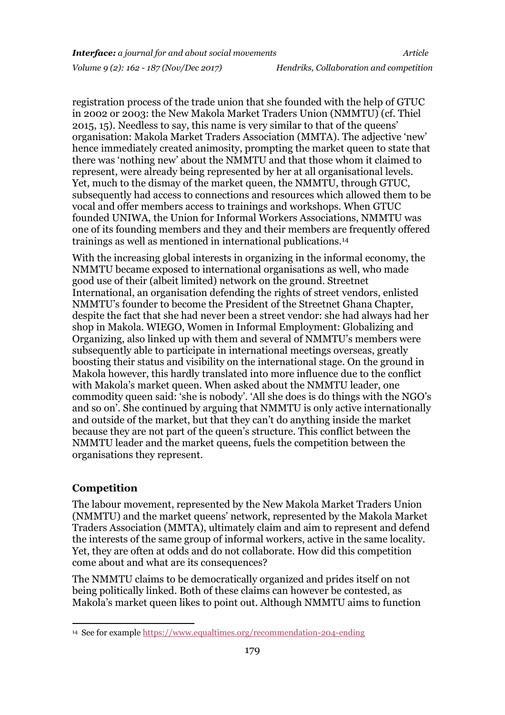registration process of the trade union that she founded with the help of GTUC in 2002 or 2003: the New Makola Market Traders Union (NMMTU) (cf. Thiel 2015, 15). Needless to say, this name is very similar to that of the queens' organisation: Makola Market Traders Association (MMTA). The adjective 'new' hence immediately created animosity, prompting the market queen to state that there was 'nothing new' about the NMMTU and that those whom it claimed to represent, were already being represented by her at all organisational levels. Yet, much to the dismay of the market queen, the NMMTU, through GTUC, subsequently had access to connections and resources which allowed them to be vocal and offer members access to trainings and workshops. When GTUC founded UNIWA, the Union for Informal Workers Associations, NMMTU was one of its founding members and they and their members are frequently offered trainings as well as mentioned in international publications.<sup>14</sup>

With the increasing global interests in organizing in the informal economy, the NMMTU became exposed to international organisations as well, who made good use of their (albeit limited) network on the ground. Streetnet International, an organisation defending the rights of street vendors, enlisted NMMTU's founder to become the President of the Streetnet Ghana Chapter, despite the fact that she had never been a street vendor: she had always had her shop in Makola. WIEGO, Women in Informal Employment: Globalizing and Organizing, also linked up with them and several of NMMTU's members were subsequently able to participate in international meetings overseas, greatly boosting their status and visibility on the international stage. On the ground in Makola however, this hardly translated into more influence due to the conflict with Makola's market queen. When asked about the NMMTU leader, one commodity queen said: 'she is nobody'. 'All she does is do things with the NGO's and so on'. She continued by arguing that NMMTU is only active internationally and outside of the market, but that they can't do anything inside the market because they are not part of the queen's structure. This conflict between the NMMTU leader and the market queens, fuels the competition between the organisations they represent.

#### **Competition**

**.** 

The labour movement, represented by the New Makola Market Traders Union (NMMTU) and the market queens' network, represented by the Makola Market Traders Association (MMTA), ultimately claim and aim to represent and defend the interests of the same group of informal workers, active in the same locality. Yet, they are often at odds and do not collaborate. How did this competition come about and what are its consequences?

The NMMTU claims to be democratically organized and prides itself on not being politically linked. Both of these claims can however be contested, as Makola's market queen likes to point out. Although NMMTU aims to function

<sup>14</sup> See for example<https://www.equaltimes.org/recommendation-204-ending>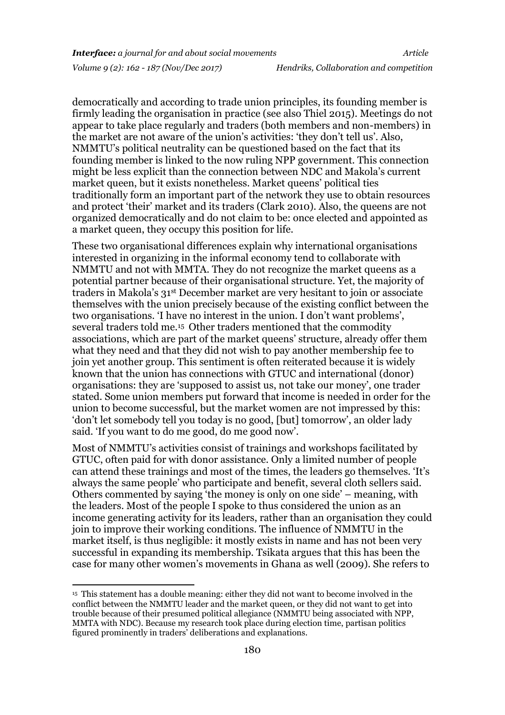democratically and according to trade union principles, its founding member is firmly leading the organisation in practice (see also Thiel 2015). Meetings do not appear to take place regularly and traders (both members and non-members) in the market are not aware of the union's activities: 'they don't tell us'. Also, NMMTU's political neutrality can be questioned based on the fact that its founding member is linked to the now ruling NPP government. This connection might be less explicit than the connection between NDC and Makola's current market queen, but it exists nonetheless. Market queens' political ties traditionally form an important part of the network they use to obtain resources and protect 'their' market and its traders (Clark 2010). Also, the queens are not organized democratically and do not claim to be: once elected and appointed as a market queen, they occupy this position for life.

These two organisational differences explain why international organisations interested in organizing in the informal economy tend to collaborate with NMMTU and not with MMTA. They do not recognize the market queens as a potential partner because of their organisational structure. Yet, the majority of traders in Makola's 31st December market are very hesitant to join or associate themselves with the union precisely because of the existing conflict between the two organisations. 'I have no interest in the union. I don't want problems', several traders told me.<sup>15</sup> Other traders mentioned that the commodity associations, which are part of the market queens' structure, already offer them what they need and that they did not wish to pay another membership fee to join yet another group. This sentiment is often reiterated because it is widely known that the union has connections with GTUC and international (donor) organisations: they are 'supposed to assist us, not take our money', one trader stated. Some union members put forward that income is needed in order for the union to become successful, but the market women are not impressed by this: 'don't let somebody tell you today is no good, [but] tomorrow', an older lady said. 'If you want to do me good, do me good now'.

Most of NMMTU's activities consist of trainings and workshops facilitated by GTUC, often paid for with donor assistance. Only a limited number of people can attend these trainings and most of the times, the leaders go themselves. 'It's always the same people' who participate and benefit, several cloth sellers said. Others commented by saying 'the money is only on one side' – meaning, with the leaders. Most of the people I spoke to thus considered the union as an income generating activity for its leaders, rather than an organisation they could join to improve their working conditions. The influence of NMMTU in the market itself, is thus negligible: it mostly exists in name and has not been very successful in expanding its membership. Tsikata argues that this has been the case for many other women's movements in Ghana as well (2009). She refers to

-

<sup>&</sup>lt;sup>15</sup> This statement has a double meaning: either they did not want to become involved in the conflict between the NMMTU leader and the market queen, or they did not want to get into trouble because of their presumed political allegiance (NMMTU being associated with NPP, MMTA with NDC). Because my research took place during election time, partisan politics figured prominently in traders' deliberations and explanations.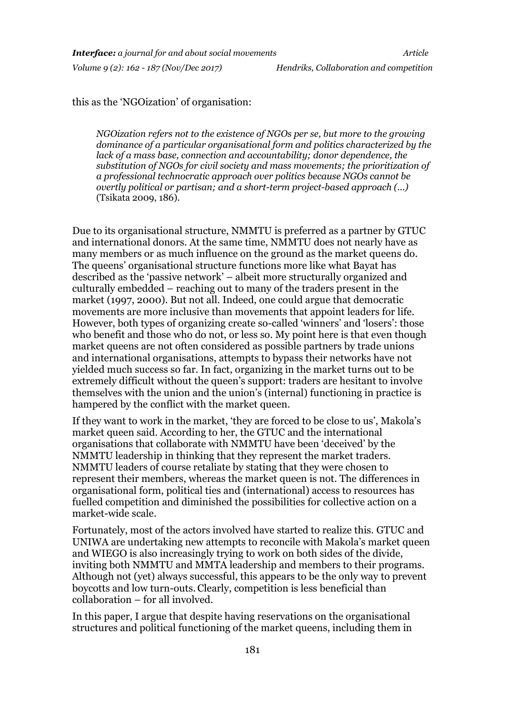this as the 'NGOization' of organisation:

*NGOization refers not to the existence of NGOs per se, but more to the growing dominance of a particular organisational form and politics characterized by the lack of a mass base, connection and accountability; donor dependence, the substitution of NGOs for civil society and mass movements; the prioritization of a professional technocratic approach over politics because NGOs cannot be overtly political or partisan; and a short-term project-based approach (...)*  (Tsikata 2009, 186)*.*

Due to its organisational structure, NMMTU is preferred as a partner by GTUC and international donors. At the same time, NMMTU does not nearly have as many members or as much influence on the ground as the market queens do. The queens' organisational structure functions more like what Bayat has described as the 'passive network' – albeit more structurally organized and culturally embedded – reaching out to many of the traders present in the market (1997, 2000). But not all. Indeed, one could argue that democratic movements are more inclusive than movements that appoint leaders for life. However, both types of organizing create so-called 'winners' and 'losers': those who benefit and those who do not, or less so. My point here is that even though market queens are not often considered as possible partners by trade unions and international organisations, attempts to bypass their networks have not yielded much success so far. In fact, organizing in the market turns out to be extremely difficult without the queen's support: traders are hesitant to involve themselves with the union and the union's (internal) functioning in practice is hampered by the conflict with the market queen.

If they want to work in the market, 'they are forced to be close to us', Makola's market queen said. According to her, the GTUC and the international organisations that collaborate with NMMTU have been 'deceived' by the NMMTU leadership in thinking that they represent the market traders. NMMTU leaders of course retaliate by stating that they were chosen to represent their members, whereas the market queen is not. The differences in organisational form, political ties and (international) access to resources has fuelled competition and diminished the possibilities for collective action on a market-wide scale.

Fortunately, most of the actors involved have started to realize this. GTUC and UNIWA are undertaking new attempts to reconcile with Makola's market queen and WIEGO is also increasingly trying to work on both sides of the divide, inviting both NMMTU and MMTA leadership and members to their programs. Although not (yet) always successful, this appears to be the only way to prevent boycotts and low turn-outs.Clearly, competition is less beneficial than collaboration – for all involved.

In this paper, I argue that despite having reservations on the organisational structures and political functioning of the market queens, including them in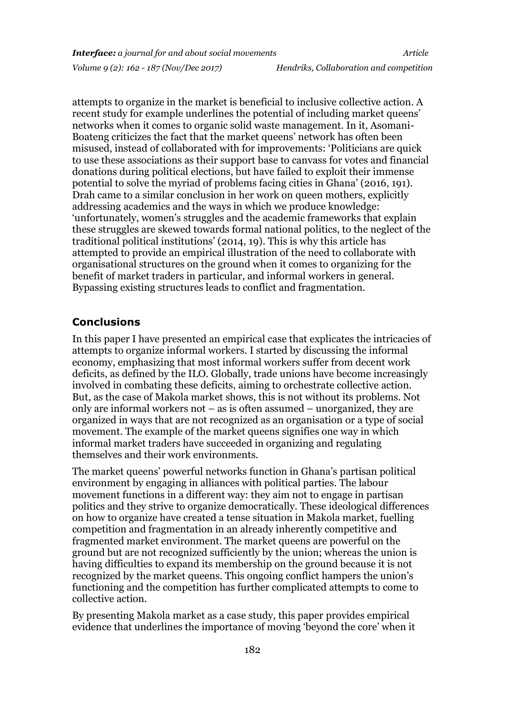attempts to organize in the market is beneficial to inclusive collective action. A recent study for example underlines the potential of including market queens' networks when it comes to organic solid waste management. In it, Asomani-Boateng criticizes the fact that the market queens' network has often been misused, instead of collaborated with for improvements: 'Politicians are quick to use these associations as their support base to canvass for votes and financial donations during political elections, but have failed to exploit their immense potential to solve the myriad of problems facing cities in Ghana' (2016, 191). Drah came to a similar conclusion in her work on queen mothers, explicitly addressing academics and the ways in which we produce knowledge: 'unfortunately, women's struggles and the academic frameworks that explain these struggles are skewed towards formal national politics, to the neglect of the traditional political institutions' (2014, 19). This is why this article has attempted to provide an empirical illustration of the need to collaborate with organisational structures on the ground when it comes to organizing for the benefit of market traders in particular, and informal workers in general. Bypassing existing structures leads to conflict and fragmentation.

#### **Conclusions**

In this paper I have presented an empirical case that explicates the intricacies of attempts to organize informal workers. I started by discussing the informal economy, emphasizing that most informal workers suffer from decent work deficits, as defined by the ILO. Globally, trade unions have become increasingly involved in combating these deficits, aiming to orchestrate collective action. But, as the case of Makola market shows, this is not without its problems. Not only are informal workers not – as is often assumed – unorganized, they are organized in ways that are not recognized as an organisation or a type of social movement. The example of the market queens signifies one way in which informal market traders have succeeded in organizing and regulating themselves and their work environments.

The market queens' powerful networks function in Ghana's partisan political environment by engaging in alliances with political parties. The labour movement functions in a different way: they aim not to engage in partisan politics and they strive to organize democratically. These ideological differences on how to organize have created a tense situation in Makola market, fuelling competition and fragmentation in an already inherently competitive and fragmented market environment. The market queens are powerful on the ground but are not recognized sufficiently by the union; whereas the union is having difficulties to expand its membership on the ground because it is not recognized by the market queens. This ongoing conflict hampers the union's functioning and the competition has further complicated attempts to come to collective action.

By presenting Makola market as a case study, this paper provides empirical evidence that underlines the importance of moving 'beyond the core' when it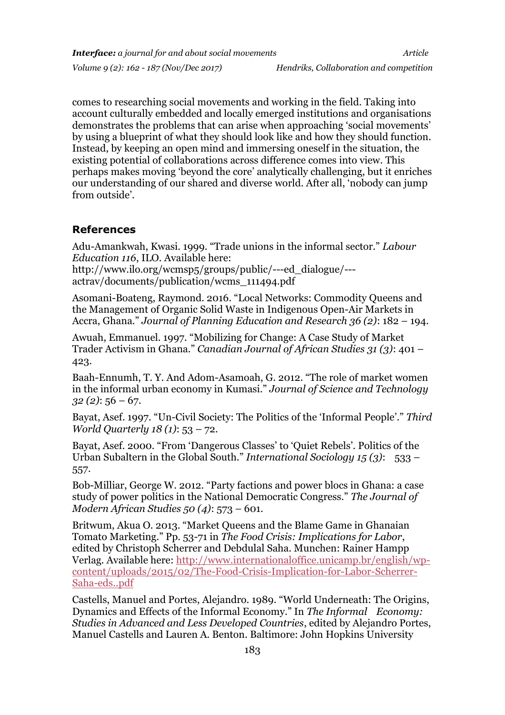comes to researching social movements and working in the field. Taking into account culturally embedded and locally emerged institutions and organisations demonstrates the problems that can arise when approaching 'social movements' by using a blueprint of what they should look like and how they should function. Instead, by keeping an open mind and immersing oneself in the situation, the existing potential of collaborations across difference comes into view. This perhaps makes moving 'beyond the core' analytically challenging, but it enriches our understanding of our shared and diverse world. After all, 'nobody can jump from outside'.

#### **References**

Adu-Amankwah, Kwasi. 1999. "Trade unions in the informal sector." *Labour Education 116*, ILO. Available here:

[http://www.ilo.org/wcmsp5/groups/public/---ed\\_dialogue/--](http://www.ilo.org/wcmsp5/groups/public/---ed_dialogue/---actrav/documents/publication/wcms_111494.pdf) [actrav/documents/publication/wcms\\_111494.pdf](http://www.ilo.org/wcmsp5/groups/public/---ed_dialogue/---actrav/documents/publication/wcms_111494.pdf)

Asomani-Boateng, Raymond. 2016. "Local Networks: Commodity Queens and the Management of Organic Solid Waste in Indigenous Open-Air Markets in Accra, Ghana." *Journal of Planning Education and Research 36 (2)*: 182 – 194.

Awuah, Emmanuel. 1997. "Mobilizing for Change: A Case Study of Market Trader Activism in Ghana." *Canadian Journal of African Studies 31 (3)*: 401 – 423.

Baah-Ennumh, T. Y. And Adom-Asamoah, G. 2012. "The role of market women in the informal urban economy in Kumasi." *Journal of Science and Technology 32 (2)*: 56 – 67.

Bayat, Asef. 1997. "Un-Civil Society: The Politics of the 'Informal People'." *Third World Quarterly 18 (1)*: 53 – 72.

Bayat, Asef. 2000. "From 'Dangerous Classes' to 'Quiet Rebels'. Politics of the Urban Subaltern in the Global South." *International Sociology 15 (3)*: 533 – 557.

Bob-Milliar, George W. 2012. "Party factions and power blocs in Ghana: a case study of power politics in the National Democratic Congress." *The Journal of Modern African Studies 50 (4)*: 573 – 601.

Britwum, Akua O. 2013. "Market Queens and the Blame Game in Ghanaian Tomato Marketing." Pp. 53-71 in *The Food Crisis: Implications for Labor*, edited by Christoph Scherrer and Debdulal Saha. Munchen: Rainer Hampp Verlag. Available here: [http://www.internationaloffice.unicamp.br/english/wp](http://www.internationaloffice.unicamp.br/english/wp-content/uploads/2015/02/The-Food-Crisis-Implication-for-Labor-Scherrer-Saha-eds..pdf)[content/uploads/2015/02/The-Food-Crisis-Implication-for-Labor-Scherrer-](http://www.internationaloffice.unicamp.br/english/wp-content/uploads/2015/02/The-Food-Crisis-Implication-for-Labor-Scherrer-Saha-eds..pdf)[Saha-eds..pdf](http://www.internationaloffice.unicamp.br/english/wp-content/uploads/2015/02/The-Food-Crisis-Implication-for-Labor-Scherrer-Saha-eds..pdf)

Castells, Manuel and Portes, Alejandro. 1989. "World Underneath: The Origins, Dynamics and Effects of the Informal Economy." In *The Informal Economy: Studies in Advanced and Less Developed Countries*, edited by Alejandro Portes, Manuel Castells and Lauren A. Benton. Baltimore: John Hopkins University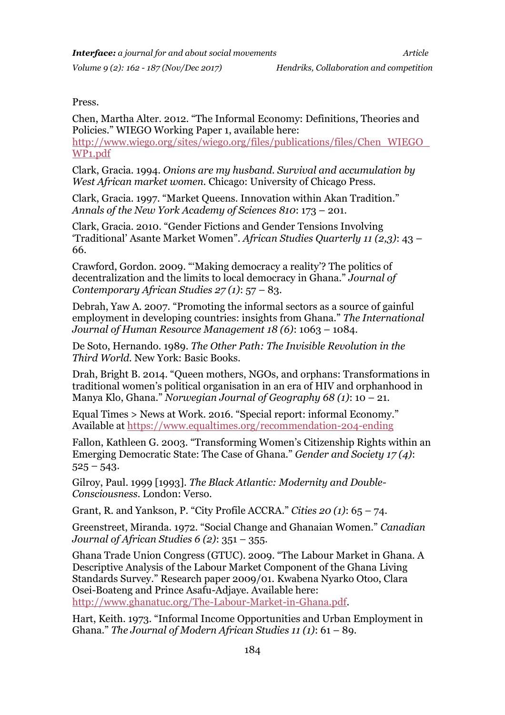#### Press.

Chen, Martha Alter. 2012. "The Informal Economy: Definitions, Theories and Policies." WIEGO Working Paper 1, available here: [http://www.wiego.org/sites/wiego.org/files/publications/files/Chen\\_WIEGO\\_](http://www.wiego.org/sites/wiego.org/files/publications/files/Chen_WIEGO_WP1.pdf) [WP1.pdf](http://www.wiego.org/sites/wiego.org/files/publications/files/Chen_WIEGO_WP1.pdf)

Clark, Gracia. 1994. *Onions are my husband. Survival and accumulation by West African market women.* Chicago: University of Chicago Press.

Clark, Gracia. 1997. "Market Queens. Innovation within Akan Tradition." *Annals of the New York Academy of Sciences 810*: 173 – 201.

Clark, Gracia. 2010. "Gender Fictions and Gender Tensions Involving 'Traditional' Asante Market Women". *African Studies Quarterly 11 (2,3)*: 43 – 66.

Crawford, Gordon. 2009. "'Making democracy a reality'? The politics of decentralization and the limits to local democracy in Ghana." *Journal of Contemporary African Studies 27 (1)*: 57 – 83.

Debrah, Yaw A. 2007. "Promoting the informal sectors as a source of gainful employment in developing countries: insights from Ghana." *The International Journal of Human Resource Management 18 (6)*: 1063 – 1084.

De Soto, Hernando. 1989. *The Other Path: The Invisible Revolution in the Third World.* New York: Basic Books.

Drah, Bright B. 2014. "Queen mothers, NGOs, and orphans: Transformations in traditional women's political organisation in an era of HIV and orphanhood in Manya Klo, Ghana." *Norwegian Journal of Geography 68 (1)*: 10 – 21.

Equal Times > News at Work. 2016. "Special report: informal Economy." Available at<https://www.equaltimes.org/recommendation-204-ending>

Fallon, Kathleen G. 2003. "Transforming Women's Citizenship Rights within an Emerging Democratic State: The Case of Ghana." *Gender and Society 17 (4)*:  $525 - 543.$ 

Gilroy, Paul. 1999 [1993]. *The Black Atlantic: Modernity and Double-Consciousness.* London: Verso.

Grant, R. and Yankson, P. "City Profile ACCRA." *Cities 20 (1)*: 65 – 74.

Greenstreet, Miranda. 1972. "Social Change and Ghanaian Women." *Canadian Journal of African Studies 6 (2)*: 351 – 355.

Ghana Trade Union Congress (GTUC). 2009. "The Labour Market in Ghana. A Descriptive Analysis of the Labour Market Component of the Ghana Living Standards Survey." Research paper 2009/01. Kwabena Nyarko Otoo, Clara Osei-Boateng and Prince Asafu-Adjaye. Available here: [http://www.ghanatuc.org/The-Labour-Market-in-Ghana.pdf.](file:///C:/Users/lcox/AppData/Local/Microsoft/Windows/Temporary%20Internet%20Files/Content.Outlook/NJZ5XPOQ/%22)

Hart, Keith. 1973. "Informal Income Opportunities and Urban Employment in Ghana." *The Journal of Modern African Studies 11 (1)*: 61 – 89.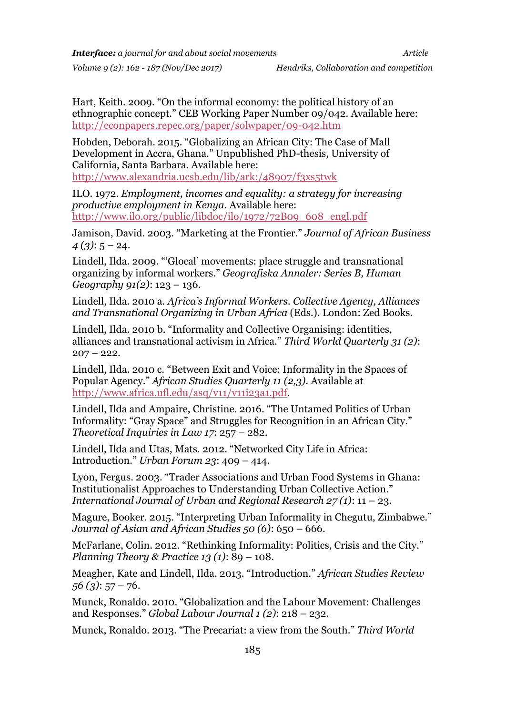Hart, Keith. 2009. "On the informal economy: the political history of an ethnographic concept." CEB Working Paper Number 09/042. Available here: <http://econpapers.repec.org/paper/solwpaper/09-042.htm>

Hobden, Deborah. 2015. "Globalizing an African City: The Case of Mall Development in Accra, Ghana." Unpublished PhD-thesis, University of California, Santa Barbara. Available here: <http://www.alexandria.ucsb.edu/lib/ark:/48907/f3xs5twk>

ILO. 1972. *Employment, incomes and equality: a strategy for increasing productive employment in Kenya.* Available here: [http://www.ilo.org/public/libdoc/ilo/1972/72B09\\_608\\_engl.pdf](http://www.ilo.org/public/libdoc/ilo/1972/72B09_608_engl.pdf)

Jamison, David. 2003. "Marketing at the Frontier." *Journal of African Business 4 (3)*: 5 – 24.

Lindell, Ilda. 2009. "'Glocal' movements: place struggle and transnational organizing by informal workers." *Geografiska Annaler: Series B, Human Geography 91(2)*: 123 – 136.

Lindell, Ilda. 2010 a. *Africa's Informal Workers. Collective Agency, Alliances and Transnational Organizing in Urban Africa* (Eds.)*.* London: Zed Books.

Lindell, Ilda. 2010 b. "Informality and Collective Organising: identities, alliances and transnational activism in Africa." *Third World Quarterly 31 (2)*:  $207 - 222$ .

Lindell, Ilda. 2010 c. "Between Exit and Voice: Informality in the Spaces of Popular Agency." *African Studies Quarterly 11 (2,3).* Available at [http://www.africa.ufl.edu/asq/v11/v11i23a1.pdf.](http://www.africa.ufl.edu/asq/v11/v11i23a1.pdf)

Lindell, Ilda and Ampaire, Christine. 2016. "The Untamed Politics of Urban Informality: "Gray Space" and Struggles for Recognition in an African City." *Theoretical Inquiries in Law 17*: 257 – 282.

Lindell, Ilda and Utas, Mats. 2012. "Networked City Life in Africa: Introduction." *Urban Forum 23*: 409 – 414.

Lyon, Fergus. 2003. "Trader Associations and Urban Food Systems in Ghana: Institutionalist Approaches to Understanding Urban Collective Action." *International Journal of Urban and Regional Research 27 (1)*: 11 – 23.

Magure, Booker. 2015. "Interpreting Urban Informality in Chegutu, Zimbabwe." *Journal of Asian and African Studies 50 (6)*: 650 – 666.

McFarlane, Colin. 2012. "Rethinking Informality: Politics, Crisis and the City." *Planning Theory & Practice 13 (1)*: 89 – 108.

Meagher, Kate and Lindell, Ilda. 2013. "Introduction." *African Studies Review 56 (3)*: 57 – 76.

Munck, Ronaldo. 2010. "Globalization and the Labour Movement: Challenges and Responses." *Global Labour Journal 1 (2)*: 218 – 232.

Munck, Ronaldo. 2013. "The Precariat: a view from the South." *Third World*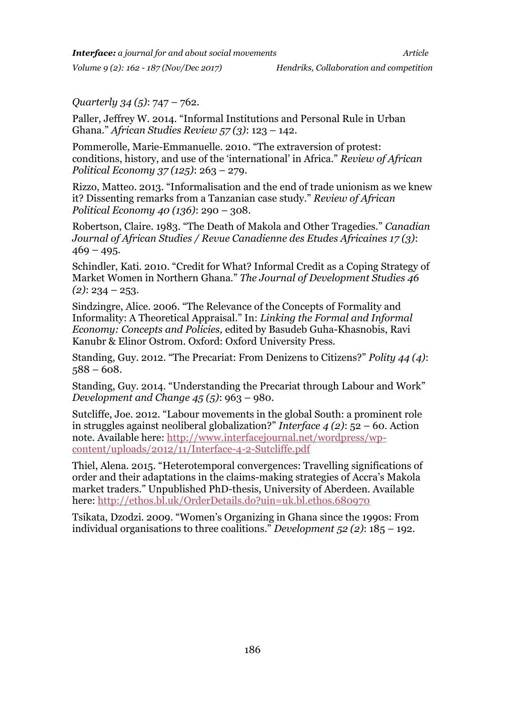*Interface: a journal for and about social movements Article*

*Quarterly 34 (5)*: 747 – 762.

Paller, Jeffrey W. 2014. "Informal Institutions and Personal Rule in Urban Ghana." *African Studies Review 57 (3)*: 123 – 142.

Pommerolle, Marie-Emmanuelle. 2010. "The extraversion of protest: conditions, history, and use of the 'international' in Africa." *Review of African Political Economy 37 (125)*: 263 – 279.

Rizzo, Matteo. 2013. "Informalisation and the end of trade unionism as we knew it? Dissenting remarks from a Tanzanian case study." *Review of African Political Economy 40 (136)*: 290 – 308.

Robertson, Claire. 1983. "The Death of Makola and Other Tragedies." *Canadian Journal of African Studies / Revue Canadienne des Etudes Africaines 17 (3)*:  $469 - 495.$ 

Schindler, Kati. 2010. "Credit for What? Informal Credit as a Coping Strategy of Market Women in Northern Ghana." *The Journal of Development Studies 46 (2)*: 234 – 253.

Sindzingre, Alice. 2006. "The Relevance of the Concepts of Formality and Informality: A Theoretical Appraisal." In: *Linking the Formal and Informal Economy: Concepts and Policies,* edited by Basudeb Guha-Khasnobis, Ravi Kanubr & Elinor Ostrom. Oxford: Oxford University Press.

Standing, Guy. 2012. "The Precariat: From Denizens to Citizens?" *Polity 44 (4)*:  $588 - 608.$ 

Standing, Guy. 2014. "Understanding the Precariat through Labour and Work" *Development and Change 45 (5)*: 963 – 980.

Sutcliffe, Joe. 2012. "Labour movements in the global South: a prominent role in struggles against neoliberal globalization?" *Interface 4 (2)*: 52 – 60. Action note. Available here: [http://www.interfacejournal.net/wordpress/wp](file:///C:/Users/lcox/AppData/Local/Microsoft/Windows/Temporary%20Internet%20Files/Content.Outlook/NJZ5XPOQ/%22)[content/uploads/2012/11/Interface-4-2-Sutcliffe.pdf](file:///C:/Users/lcox/AppData/Local/Microsoft/Windows/Temporary%20Internet%20Files/Content.Outlook/NJZ5XPOQ/%22)

Thiel, Alena. 2015. "Heterotemporal convergences: Travelling significations of order and their adaptations in the claims-making strategies of Accra's Makola market traders." Unpublished PhD-thesis, University of Aberdeen. Available here:<http://ethos.bl.uk/OrderDetails.do?uin=uk.bl.ethos.680970>

Tsikata, Dzodzi. 2009. "Women's Organizing in Ghana since the 1990s: From individual organisations to three coalitions." *Development 52 (2)*: 185 – 192.